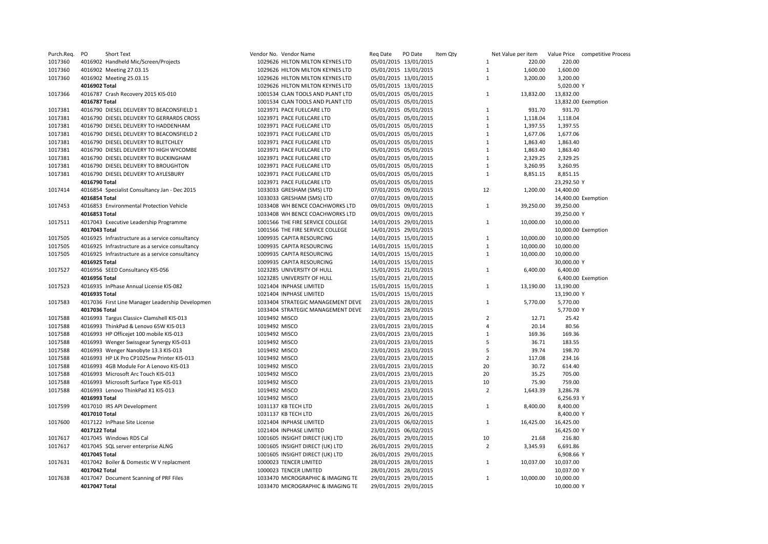| Purch.Req. | PO            | Short Text                                       | Vendor No. Vendor Name            | Reg Date | PO Date<br>Item Qty   |                | Net Value per item | Value Price competitive Process |
|------------|---------------|--------------------------------------------------|-----------------------------------|----------|-----------------------|----------------|--------------------|---------------------------------|
| 1017360    |               | 4016902 Handheld Mic/Screen/Projects             | 1029626 HILTON MILTON KEYNES LTD  |          | 05/01/2015 13/01/2015 | 1              | 220.00             | 220.00                          |
| 1017360    |               | 4016902 Meeting 27.03.15                         | 1029626 HILTON MILTON KEYNES LTD  |          | 05/01/2015 13/01/2015 | $\mathbf{1}$   | 1,600.00           | 1,600.00                        |
| 1017360    |               | 4016902 Meeting 25.03.15                         | 1029626 HILTON MILTON KEYNES LTD  |          | 05/01/2015 13/01/2015 | $\mathbf{1}$   | 3,200.00           | 3,200.00                        |
|            | 4016902 Total |                                                  | 1029626 HILTON MILTON KEYNES LTD  |          | 05/01/2015 13/01/2015 |                |                    | 5,020.00 Y                      |
| 1017366    |               | 4016787 Crash Recovery 2015 KIS-010              | 1001534 CLAN TOOLS AND PLANT LTD  |          | 05/01/2015 05/01/2015 | 1              | 13,832.00          | 13,832.00                       |
|            | 4016787 Total |                                                  | 1001534 CLAN TOOLS AND PLANT LTD  |          | 05/01/2015 05/01/2015 |                |                    | 13,832.00 Exemption             |
| 1017381    |               | 4016790 DIESEL DELIVERY TO BEACONSFIELD 1        | 1023971 PACE FUELCARE LTD         |          | 05/01/2015 05/01/2015 | 1              | 931.70             | 931.70                          |
| 1017381    |               | 4016790 DIESEL DELIVERY TO GERRARDS CROSS        | 1023971 PACE FUELCARE LTD         |          | 05/01/2015 05/01/2015 | $\mathbf{1}$   | 1,118.04           | 1,118.04                        |
| 1017381    |               | 4016790 DIESEL DELIVERY TO HADDENHAM             | 1023971 PACE FUELCARE LTD         |          | 05/01/2015 05/01/2015 | $\mathbf{1}$   | 1,397.55           | 1,397.55                        |
| 1017381    |               | 4016790 DIESEL DELIVERY TO BEACONSFIELD 2        | 1023971 PACE FUELCARE LTD         |          | 05/01/2015 05/01/2015 | $\mathbf{1}$   | 1,677.06           | 1,677.06                        |
| 1017381    |               | 4016790 DIESEL DELIVERY TO BLETCHLEY             | 1023971 PACE FUELCARE LTD         |          | 05/01/2015 05/01/2015 | $\mathbf{1}$   | 1,863.40           | 1,863.40                        |
| 1017381    |               | 4016790 DIESEL DELIVERY TO HIGH WYCOMBE          | 1023971 PACE FUELCARE LTD         |          | 05/01/2015 05/01/2015 | $\mathbf{1}$   | 1,863.40           | 1,863.40                        |
| 1017381    |               | 4016790 DIESEL DELIVERY TO BUCKINGHAM            | 1023971 PACE FUELCARE LTD         |          | 05/01/2015 05/01/2015 | $\mathbf{1}$   | 2,329.25           | 2,329.25                        |
| 1017381    |               | 4016790 DIESEL DELIVERY TO BROUGHTON             | 1023971 PACE FUELCARE LTD         |          | 05/01/2015 05/01/2015 | $\mathbf{1}$   | 3,260.95           | 3,260.95                        |
| 1017381    |               | 4016790 DIESEL DELIVERY TO AYLESBURY             | 1023971 PACE FUELCARE LTD         |          | 05/01/2015 05/01/2015 | $\mathbf{1}$   | 8,851.15           | 8,851.15                        |
|            | 4016790 Total |                                                  | 1023971 PACE FUELCARE LTD         |          | 05/01/2015 05/01/2015 |                |                    | 23,292.50 Y                     |
| 1017414    |               | 4016854 Specialist Consultancy Jan - Dec 2015    | 1033033 GRESHAM (SMS) LTD         |          | 07/01/2015 09/01/2015 | 12             | 1,200.00           | 14,400.00                       |
|            | 4016854 Total |                                                  | 1033033 GRESHAM (SMS) LTD         |          | 07/01/2015 09/01/2015 |                |                    | 14,400.00 Exemption             |
| 1017453    |               | 4016853 Environmental Protection Vehicle         | 1033408 WH BENCE COACHWORKS LTD   |          | 09/01/2015 09/01/2015 | $1\,$          | 39,250.00          | 39,250.00                       |
|            | 4016853 Total |                                                  | 1033408 WH BENCE COACHWORKS LTD   |          | 09/01/2015 09/01/2015 |                |                    | 39,250.00 Y                     |
| 1017511    |               | 4017043 Executive Leadership Programme           | 1001566 THE FIRE SERVICE COLLEGE  |          | 14/01/2015 29/01/2015 | 1              | 10,000.00          | 10,000.00                       |
|            | 4017043 Total |                                                  | 1001566 THE FIRE SERVICE COLLEGE  |          | 14/01/2015 29/01/2015 |                |                    | 10,000.00 Exemption             |
| 1017505    |               |                                                  | 1009935 CAPITA RESOURCING         |          | 14/01/2015 15/01/2015 | $\mathbf{1}$   | 10,000.00          | 10,000.00                       |
| 1017505    |               | 4016925 Infrastructure as a service consultancy  | 1009935 CAPITA RESOURCING         |          |                       | $\mathbf{1}$   | 10,000.00          | 10,000.00                       |
| 1017505    |               | 4016925 Infrastructure as a service consultancy  |                                   |          | 14/01/2015 15/01/2015 | $\mathbf{1}$   | 10,000.00          |                                 |
|            | 4016925 Total | 4016925 Infrastructure as a service consultancy  | 1009935 CAPITA RESOURCING         |          | 14/01/2015 15/01/2015 |                |                    | 10,000.00                       |
|            |               |                                                  | 1009935 CAPITA RESOURCING         |          | 14/01/2015 15/01/2015 |                |                    | 30,000.00 Y                     |
| 1017527    |               | 4016956 SEED Consultancy KIS-056                 | 1023285 UNIVERSITY OF HULL        |          | 15/01/2015 21/01/2015 | $\mathbf{1}$   | 6,400.00           | 6,400.00                        |
|            | 4016956 Total |                                                  | 1023285 UNIVERSITY OF HULL        |          | 15/01/2015 21/01/2015 |                |                    | 6,400.00 Exemption              |
| 1017523    |               | 4016935 InPhase Annual License KIS-082           | 1021404 INPHASE LIMITED           |          | 15/01/2015 15/01/2015 | $\mathbf{1}$   | 13,190.00          | 13,190.00                       |
|            | 4016935 Total |                                                  | 1021404 INPHASE LIMITED           |          | 15/01/2015 15/01/2015 |                |                    | 13,190.00 Y                     |
| 1017583    |               | 4017036 First Line Manager Leadership Developmen | 1033404 STRATEGIC MANAGEMENT DEVE |          | 23/01/2015 28/01/2015 | $\mathbf{1}$   | 5,770.00           | 5,770.00                        |
|            | 4017036 Total |                                                  | 1033404 STRATEGIC MANAGEMENT DEVE |          | 23/01/2015 28/01/2015 |                |                    | 5,770.00 Y                      |
| 1017588    |               | 4016993 Targus Classic+ Clamshell KIS-013        | 1019492 MISCO                     |          | 23/01/2015 23/01/2015 | $\overline{2}$ | 12.71              | 25.42                           |
| 1017588    |               | 4016993 ThinkPad & Lenovo 65W KIS-013            | 1019492 MISCO                     |          | 23/01/2015 23/01/2015 | $\overline{4}$ | 20.14              | 80.56                           |
| 1017588    |               | 4016993 HP Officejet 100 mobile KIS-013          | 1019492 MISCO                     |          | 23/01/2015 23/01/2015 | $1\,$          | 169.36             | 169.36                          |
| 1017588    |               | 4016993 Wenger Swissgear Synergy KIS-013         | 1019492 MISCO                     |          | 23/01/2015 23/01/2015 | 5              | 36.71              | 183.55                          |
| 1017588    |               | 4016993 Wenger Nanobyte 13.3 KIS-013             | 1019492 MISCO                     |          | 23/01/2015 23/01/2015 | 5              | 39.74              | 198.70                          |
| 1017588    |               | 4016993 HP LK Pro CP1025nw Printer KIS-013       | 1019492 MISCO                     |          | 23/01/2015 23/01/2015 | $\overline{2}$ | 117.08             | 234.16                          |
| 1017588    |               | 4016993 4GB Module For A Lenovo KIS-013          | 1019492 MISCO                     |          | 23/01/2015 23/01/2015 | 20             | 30.72              | 614.40                          |
| 1017588    |               | 4016993 Microsoft Arc Touch KIS-013              | 1019492 MISCO                     |          | 23/01/2015 23/01/2015 | 20             | 35.25              | 705.00                          |
| 1017588    |               | 4016993 Microsoft Surface Type KIS-013           | 1019492 MISCO                     |          | 23/01/2015 23/01/2015 | 10             | 75.90              | 759.00                          |
| 1017588    |               | 4016993 Lenovo ThinkPad X1 KIS-013               | 1019492 MISCO                     |          | 23/01/2015 23/01/2015 | $\overline{2}$ | 1,643.39           | 3,286.78                        |
|            | 4016993 Total |                                                  | 1019492 MISCO                     |          | 23/01/2015 23/01/2015 |                |                    | 6,256.93 Y                      |
| 1017599    |               | 4017010 IRS API Development                      | 1031137 KB TECH LTD               |          | 23/01/2015 26/01/2015 | $\mathbf{1}$   | 8,400.00           | 8,400.00                        |
|            | 4017010 Total |                                                  | 1031137 KB TECH LTD               |          | 23/01/2015 26/01/2015 |                |                    | 8,400.00 Y                      |
| 1017600    |               | 4017122 InPhase Site License                     | 1021404 INPHASE LIMITED           |          | 23/01/2015 06/02/2015 | $\mathbf{1}$   | 16,425.00          | 16,425.00                       |
|            | 4017122 Total |                                                  | 1021404 INPHASE LIMITED           |          | 23/01/2015 06/02/2015 |                |                    | 16,425.00 Y                     |
| 1017617    |               | 4017045 Windows RDS Cal                          | 1001605 INSIGHT DIRECT (UK) LTD   |          | 26/01/2015 29/01/2015 | 10             | 21.68              | 216.80                          |
| 1017617    |               | 4017045 SQL server enterprise ALNG               | 1001605 INSIGHT DIRECT (UK) LTD   |          | 26/01/2015 29/01/2015 | $\overline{2}$ | 3,345.93           | 6,691.86                        |
|            | 4017045 Total |                                                  | 1001605 INSIGHT DIRECT (UK) LTD   |          | 26/01/2015 29/01/2015 |                |                    | 6,908.66 Y                      |
| 1017631    |               | 4017042 Boiler & Domestic W V replacment         | 1000023 TENCER LIMITED            |          | 28/01/2015 28/01/2015 | $\mathbf{1}$   | 10,037.00          | 10,037.00                       |
|            | 4017042 Total |                                                  | 1000023 TENCER LIMITED            |          | 28/01/2015 28/01/2015 |                |                    | 10,037.00 Y                     |
| 1017638    |               | 4017047 Document Scanning of PRF Files           | 1033470 MICROGRAPHIC & IMAGING TE |          | 29/01/2015 29/01/2015 | $\mathbf{1}$   | 10,000.00          | 10,000.00                       |
|            | 4017047 Total |                                                  | 1033470 MICROGRAPHIC & IMAGING TE |          | 29/01/2015 29/01/2015 |                |                    | 10,000.00 Y                     |